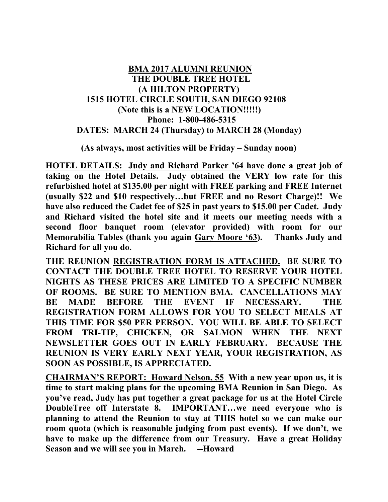## **BMA 2017 ALUMNI REUNION THE DOUBLE TREE HOTEL (A HILTON PROPERTY) 1515 HOTEL CIRCLE SOUTH, SAN DIEGO 92108 (Note this is a NEW LOCATION!!!!!) Phone: 1-800-486-5315 DATES: MARCH 24 (Thursday) to MARCH 28 (Monday)**

### **(As always, most activities will be Friday – Sunday noon)**

**HOTEL DETAILS: Judy and Richard Parker '64 have done a great job of taking on the Hotel Details. Judy obtained the VERY low rate for this refurbished hotel at \$135.00 per night with FREE parking and FREE Internet (usually \$22 and \$10 respectively…but FREE and no Resort Charge)!! We have also reduced the Cadet fee of \$25 in past years to \$15.00 per Cadet. Judy and Richard visited the hotel site and it meets our meeting needs with a second floor banquet room (elevator provided) with room for our Memorabilia Tables (thank you again Gary Moore '63). Thanks Judy and Richard for all you do.** 

**THE REUNION REGISTRATION FORM IS ATTACHED. BE SURE TO CONTACT THE DOUBLE TREE HOTEL TO RESERVE YOUR HOTEL NIGHTS AS THESE PRICES ARE LIMITED TO A SPECIFIC NUMBER OF ROOMS. BE SURE TO MENTION BMA. CANCELLATIONS MAY BE MADE BEFORE THE EVENT IF NECESSARY. THE REGISTRATION FORM ALLOWS FOR YOU TO SELECT MEALS AT THIS TIME FOR \$50 PER PERSON. YOU WILL BE ABLE TO SELECT FROM TRI-TIP, CHICKEN, OR SALMON WHEN THE NEXT NEWSLETTER GOES OUT IN EARLY FEBRUARY. BECAUSE THE REUNION IS VERY EARLY NEXT YEAR, YOUR REGISTRATION, AS SOON AS POSSIBLE, IS APPRECIATED.** 

**CHAIRMAN'S REPORT: Howard Nelson, 55 With a new year upon us, it is time to start making plans for the upcoming BMA Reunion in San Diego. As you've read, Judy has put together a great package for us at the Hotel Circle DoubleTree off Interstate 8. IMPORTANT…we need everyone who is planning to attend the Reunion to stay at THIS hotel so we can make our room quota (which is reasonable judging from past events). If we don't, we have to make up the difference from our Treasury. Have a great Holiday Season and we will see you in March. --Howard**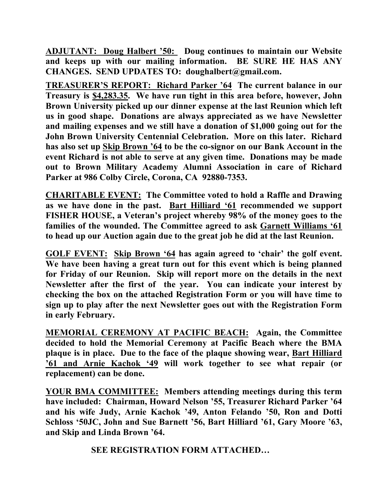**ADJUTANT: Doug Halbert '50: Doug continues to maintain our Website and keeps up with our mailing information. BE SURE HE HAS ANY CHANGES. SEND UPDATES TO: doughalbert@gmail.com.** 

**TREASURER'S REPORT: Richard Parker '64 The current balance in our Treasury is \$4,283.35. We have run tight in this area before, however, John Brown University picked up our dinner expense at the last Reunion which left us in good shape. Donations are always appreciated as we have Newsletter and mailing expenses and we still have a donation of \$1,000 going out for the John Brown University Centennial Celebration. More on this later. Richard has also set up Skip Brown '64 to be the co-signor on our Bank Account in the event Richard is not able to serve at any given time. Donations may be made out to Brown Military Academy Alumni Association in care of Richard Parker at 986 Colby Circle, Corona, CA 92880-7353.** 

**CHARITABLE EVENT: The Committee voted to hold a Raffle and Drawing as we have done in the past. Bart Hilliard '61 recommended we support FISHER HOUSE, a Veteran's project whereby 98% of the money goes to the families of the wounded. The Committee agreed to ask Garnett Williams '61 to head up our Auction again due to the great job he did at the last Reunion.** 

**GOLF EVENT: Skip Brown '64 has again agreed to 'chair' the golf event. We have been having a great turn out for this event which is being planned for Friday of our Reunion. Skip will report more on the details in the next Newsletter after the first of the year. You can indicate your interest by checking the box on the attached Registration Form or you will have time to sign up to play after the next Newsletter goes out with the Registration Form in early February.** 

**MEMORIAL CEREMONY AT PACIFIC BEACH: Again, the Committee decided to hold the Memorial Ceremony at Pacific Beach where the BMA plaque is in place. Due to the face of the plaque showing wear, Bart Hilliard '61 and Arnie Kachok '49 will work together to see what repair (or replacement) can be done.** 

**YOUR BMA COMMITTEE: Members attending meetings during this term have included: Chairman, Howard Nelson '55, Treasurer Richard Parker '64 and his wife Judy, Arnie Kachok '49, Anton Felando '50, Ron and Dotti Schloss '50JC, John and Sue Barnett '56, Bart Hilliard '61, Gary Moore '63, and Skip and Linda Brown '64.** 

 **SEE REGISTRATION FORM ATTACHED…**